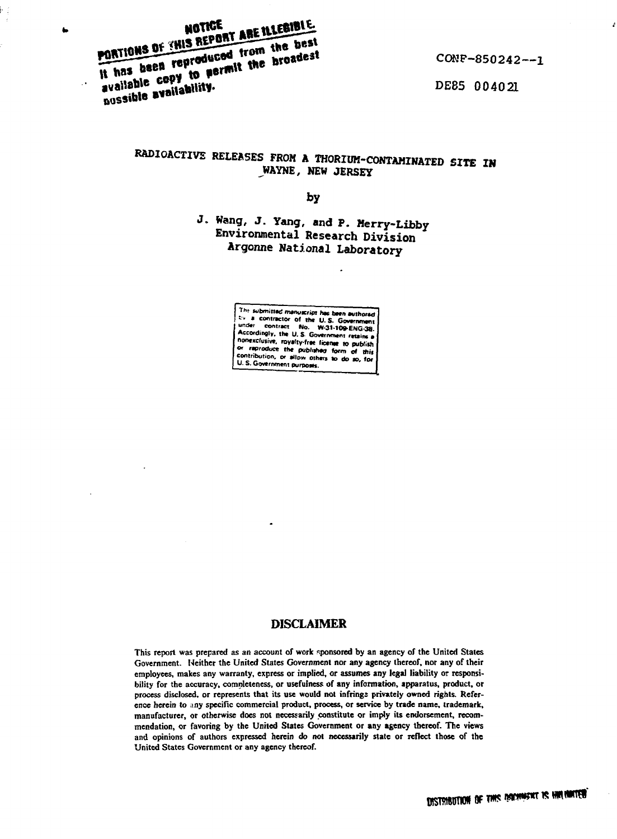PORTIONS OF THIS REPORT ARE ILLEGIBLE. It has been reproduced from the best available copy to permit the broadest possible availability.

k,

CONF-850242--1

DE85 004021

# RADIOACTIVE RELEASES FROM A THORIUM-CONTAMINATED SITE IN WAYNE, NEW JERSEY

bу

J. Wang, J. Yang, and P. Merry-Libby Environmental Research Division Argonne National Laboratory

> The submitted manuscript has been authored First southeast of the U.S. Government results<br>to a contractor of the U.S. Government retains a<br>Accordingly, the U.S. Government retains a nonexclusive, royalty-free license to publish or reproduce the published form of this contribution, or allow others to do so, for

# **DISCLAIMER**

This report was prepared as an account of work sponsored by an agency of the United States Government. Neither the United States Government nor any agency thereof, nor any of their employees, makes any warranty, express or implied, or assumes any legal liability or responsibility for the accuracy, completeness, or usefulness of any information, apparatus, product, or process disclosed, or represents that its use would not infringe privately owned rights. Reference herein to any specific commercial product, process, or service by trade name, trademark, manufacturer, or otherwise does not necessarily constitute or imply its endorsement, recommendation, or favoring by the United States Government or any agency thereof. The views and opinions of authors expressed herein do not necessarily state or reflect those of the United States Government or any agency thereof.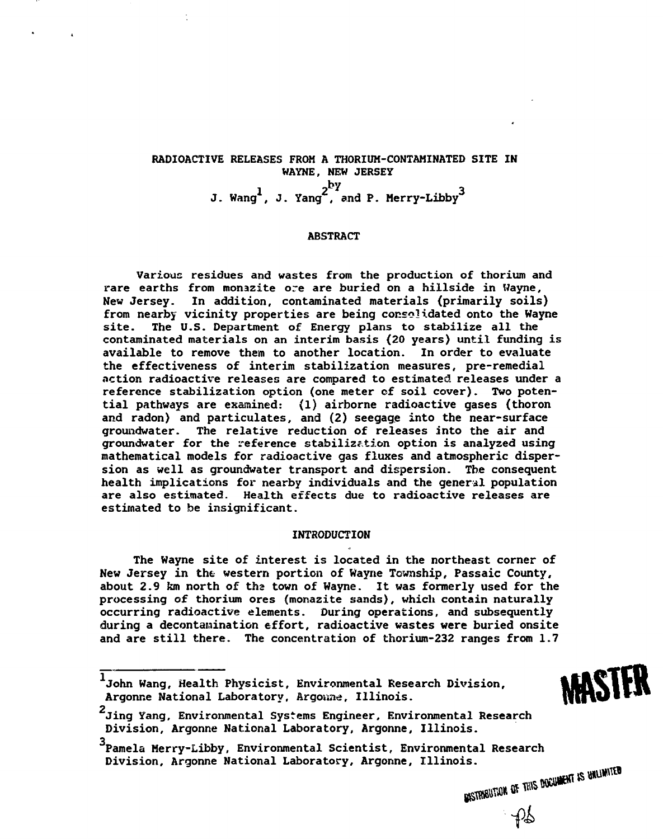# **RADIOACTIVE RELEASES FROM A THORIUM-CONTAMINATED SITE IN WAYNE, NEW JERSEY**  $1$  **y ang**  $2^{2^t}$  and **P Merry-Libby**  $3$

#### **ABSTRACT**

**Various residues and wastes from the production of thorium and rare earths from monazite ore are buried on a hillside in Wayne, New Jersey. In addition, contaminated materials {primarily soils) from nearby vicinity properties are being consolidated onto the Wayne site. The U.S. Department of Energy plans to stabilize all the contaminated materials on an interim basis (20 years) until funding is available to remove them to another location. In order to evaluate the effectiveness of interim stabilization measures, pre-remedial action radioactive releases are compared to estimated releases under a reference stabilization option (one meter cf soil cover). Two potential pathways are examined: (1) airborne radioactive gases (thoron and radon) and particulates, and (2) seegage into the near-surface groundwater. The relative reduction of releases into the air and groundwater for the reference stabilization option is analyzed using mathematical models for radioactive gas fluxes and atmospheric dispersion as well as groundwater transport and dispersion. The consequent health implications for nearby individuals and the general population are also estimated. Health effects due to radioactive releases are estimated to be insignificant.**

# **INTRODUCTION**

**The Wayne site of interest is located in the northeast corner of New Jersey in the western portion of Wayne Township, Passaic County, about 2.9 km north of the town of Wayne. It was formerly used for the processing of thorium ores (monazite sands), which contain naturally occurring radioactive elements. During operations, and subsequently during a decontamination effort, radioactive wastes were buried onsite and are still there. The concentration of thorium-232 ranges from 1.7**

**John Wang, Health Physicist, Environmental Research Division,** Argonne National Laboratory, Argonne, Illinois. **2**

MASTER

**Jing Yang, Environmental Systems Engineer, Environmental Research Division, Argonne National Laboratory, Argonne, Illinois.**

**Pamela Merry-Libby, Environmental Scientist, Environmental Research Division, Argonne National Laboratory, Argonne, Illinois.**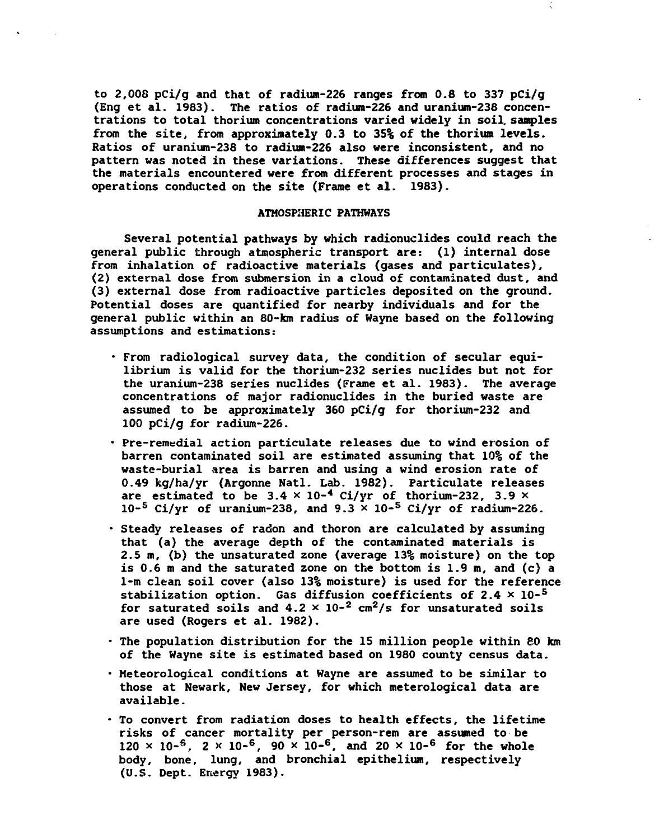**to 2,008 pCi/g and that of radium-226 ranges from 0.8 to 337 pCi/g (Eng et al. 1983). The ratios of radiura-226 and uranium-238 concentrations to total thorium concentrations varied widely in soil, samples from the site, from approximately 0.3 to 35% of the thorium levels. Ratios of uranium-238 to radium-226 also were inconsistent, and no pattern was noted in these variations. These differences suggest that the materials encountered were from different processes and stages in operations conducted on the site (Frame et al. 1983).**

## **ATMOSPHERIC PATHWAYS**

**Several potential pathways by which radionuclides could reach the general public through atmospheric transport are: (1) internal dose from inhalation of radioactive materials (gases and particulates), (2) external dose from submersion in a cloud of contaminated dust, and (3) external dose from radioactive particles deposited on the ground. Potential doses are quantified for nearby individuals and for the general public within an 80-km radius of Wayne based on the following assumptions and estimations:**

- **From radiological survey data, the condition of secular equilibrium is valid for the thorium-232 series nuclides but not for the uranium-238 series nuclides (Frame et al. 1983). The average concentrations of major radionuclides in the buried waste are assumed to be approximately 360 pCi/g for thorium-232 and 100 pCi/g for radium-226.**
- **Pre-remedial action particulate releases due to wind erosion of barren contaminated soil are estimated assuming that 10% of the waste-burial area is barren and using a wind erosion rate of 0.49 kg/ha/yr (Argonne Natl. Lab. 1982). Particulate releases** are estimated to be  $3.4 \times 10^{-4}$  Ci/yr of thorium-232, 3.9  $\times$ **10-<sup>5</sup> Ci/yr of uranium-238, and 9.3 x 10-<sup>5</sup> Ci/yr of radium-226.**
- **Steady releases of radon and thoron are calculated by assuming that (a) the average depth of the contaminated materials is 2.5 m, (b) the unsaturated zone (average 13% moisture) on the top is 0.6 m and the saturated zone on the bottom is 1.9 m, and (c) a 1-m clean soil cover (also 13% moisture) is used for the reference stabilization option. Gas diffusion coefficients of 2.4 x 10-<sup>5</sup> for saturated soils and 4.2 x 10-<sup>2</sup> cm<sup>2</sup>/s for unsaturated soils are used (Rogers et al. 1982).**
- **The population distribution for the 15 million people within 80 km of the Wayne site is estimated based on 1980 county census data.**
- **Meteorological conditions at Wayne are assumed to be similar to those at Newark, New Jersey, for which meterological data are available.**
- **To convert from radiation doses to health effects, the lifetime risks of cancer mortality per person-rem are assumed to be 120 x io-<sup>s</sup>, 2 >< 10-<sup>6</sup>, 90 x io-<sup>6</sup>, and 20 x io-<sup>6</sup> for the whole body, bone, lung, and bronchial epithelium, respectively (U.S. Dept. Energy 1983).**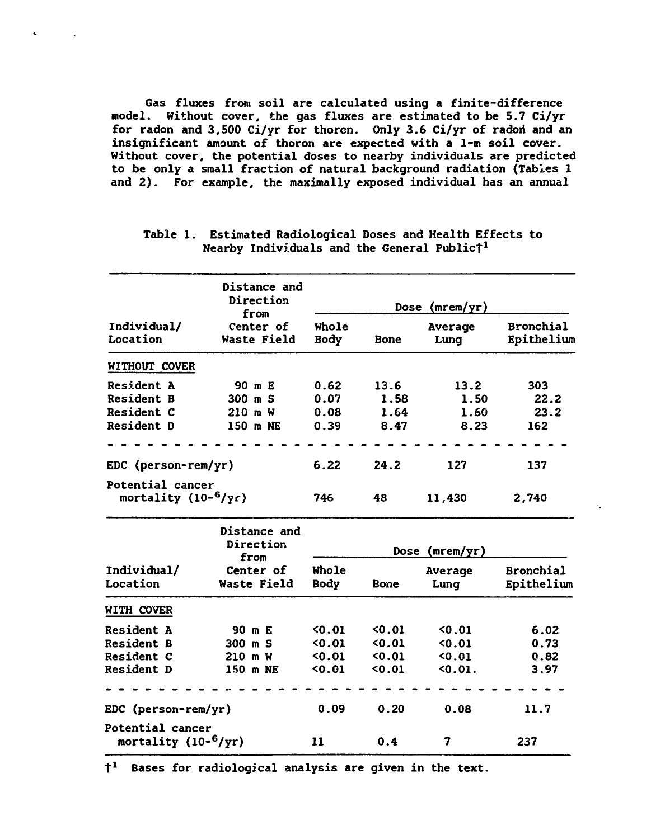**Gas fluxes from soil are calculated using a finite-difference model. Without cover, the gas fluxes are estimated to be 5.7 Ci/yr for radon and 3,500 Ci/yr for thoron. Only 3.6 Ci/yr of radoii and an insignificant amount of thoron are expected with a 1-m soil cover. Without cover, the potential doses to nearby individuals are predicted to be only a small fraction of natural background radiation (Tables 1 and 2). For example, the maximally exposed individual has an annual**

| Individual/<br>Location                      | Distance and<br>Direction<br>from<br>Center of<br>Waste Field | Dose $(mrem/yr)$     |             |                 |                                |
|----------------------------------------------|---------------------------------------------------------------|----------------------|-------------|-----------------|--------------------------------|
|                                              |                                                               | Whole<br><b>Body</b> | <b>Bone</b> | Average<br>Lung | <b>Bronchial</b><br>Epithelium |
| WITHOUT COVER                                |                                                               |                      |             |                 |                                |
| <b>Resident A</b>                            | 90 m E                                                        | 0.62                 | 13.6        | 13.2            | 303                            |
| <b>Resident B</b>                            | $300$ m S                                                     | 0.07                 | 1.58        | 1.50            | 22.2                           |
| Resident C                                   | 210 m W                                                       | 0.08                 | 1.64        | 1.60            | 23.2                           |
| Resident D                                   | 150 m NE                                                      | 0.39                 | 8.47        | 8.23            | 162                            |
|                                              |                                                               |                      |             |                 |                                |
| EDC (person-rem/yr)                          |                                                               | 6.22                 | 24.2        | 127             | 137                            |
| Potential cancer<br>mortality $(10^{-6}/yr)$ |                                                               | 746                  | 48          | 11,430          | 2,740                          |

 $\ddot{\phantom{a}}$ 

**Table 1. Estimated Radiological Doses and Health Effects to Nearby Individuals and the General Publict<sup>1</sup>**

| Individual/<br>Location                              | <b>Distance and</b><br>Direction<br>from<br>Center of<br>Waste Field | Dose (mrem/yr)       |      |                 |                                |  |
|------------------------------------------------------|----------------------------------------------------------------------|----------------------|------|-----------------|--------------------------------|--|
|                                                      |                                                                      | Whole<br><b>Body</b> | Bone | Average<br>Lung | <b>Bronchial</b><br>Epithelium |  |
| WITH COVER                                           |                                                                      |                      |      |                 |                                |  |
| <b>Resident A</b>                                    | 90 m E                                                               | 0.01                 | 0.01 | 0.01            | 6.02                           |  |
| <b>Resident B</b>                                    | 300 m S                                                              | 0.01                 | 0.01 | 0.01            | 0.73                           |  |
| <b>Resident C</b>                                    | 210 m W                                                              | 50.01                | 0.01 | 0.01            | 0.82                           |  |
| <b>Resident D</b>                                    | 150 m NE                                                             | 0.01                 | 0.01 | 0.01.           | 3.97                           |  |
|                                                      |                                                                      |                      |      |                 |                                |  |
| EDC (person-rem/yr)                                  |                                                                      | 0.09                 | 0.20 | 0.08            | 11.7                           |  |
| Potential cancer<br>mortality (10- <sup>6</sup> /yr) |                                                                      | 11                   | 0.4  | 7               | 237                            |  |

**t <sup>1</sup> Bases for radiological analysis are given in the text.**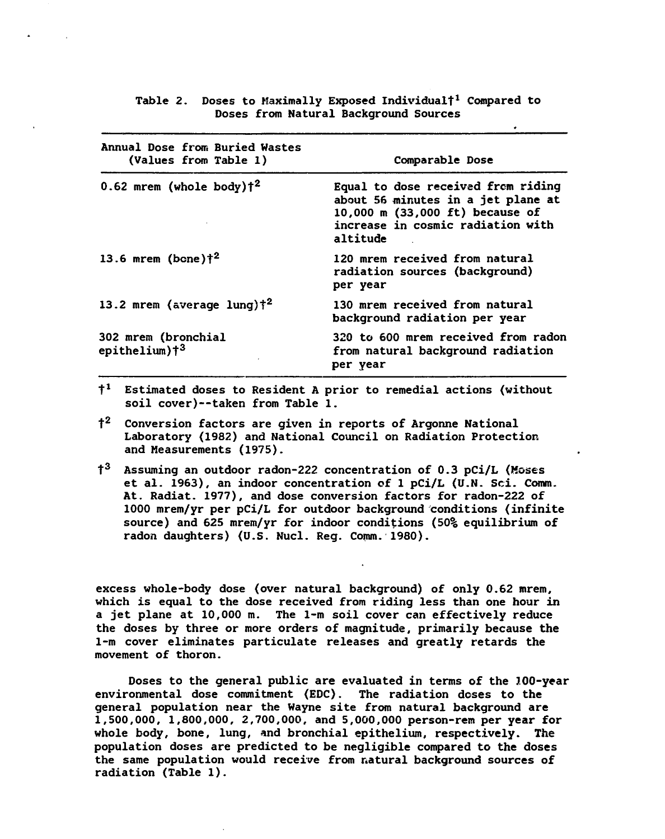| Annual Dose from Buried Wastes<br>(Values from Table 1) | Comparable Dose                                                                                                                                              |  |  |
|---------------------------------------------------------|--------------------------------------------------------------------------------------------------------------------------------------------------------------|--|--|
| $0.62$ mrem (whole body) $\uparrow^2$                   | Equal to dose received from riding<br>about 56 minutes in a jet plane at<br>10,000 m (33,000 ft) because of<br>increase in cosmic radiation with<br>altitude |  |  |
| 13.6 mrem (bone) $\dagger^2$                            | 120 mrem received from natural<br>radiation sources (background)<br>per year                                                                                 |  |  |
| 13.2 mrem (average lung) $\ddagger^2$                   | 130 mrem received from natural<br>background radiation per year                                                                                              |  |  |
| <b>302 mrem (bronchial</b><br>epithelium)† <sup>3</sup> | 320 to 600 mrem received from radon<br>from natural background radiation<br>per year                                                                         |  |  |

**Table 2. Doses to Maximally Exposed Individual!<sup>x</sup> Compared to Doses from Natural Background Sources**

- **t <sup>1</sup> Estimated doses to Resident A prior to remedial actions (without soil cover)—taken from Table 1.**
- **t <sup>2</sup> Conversion factors are given in reports of Argonne National Laboratory (1982) and National Council on Radiation Protection and Measurements (1975).**
- $t^3$ **<sup>3</sup> Assuming an outdoor radon-222 concentration of 0.3 pCi/L (Moses et al. 1963), an indoor concentration of 1 pCi/L (U.N. Sci. Comm. At. Radiat. 1977), and dose conversion factors for radon-222 of 1000 mrem/yr per pCi/L for outdoor background conditions (infinite source) and 625 mrem/yr for indoor conditions (50% equilibrium of radon daughters) (U.S. Nucl. Reg. Comm. 1980).**

**excess whole-body dose (over natural background) of only 0.62 mrem, which is equal to the dose received from riding less than one hour in a jet plane at 10,000 m. The 1-m soil cover can effectively reduce the doses by three or more orders of magnitude, primarily because the 1-m cover eliminates particulate releases and greatly retards the movement of thoron.**

**Doses to the general public are evaluated in terms of the 7.00-year environmental dose commitment (EDC). The radiation doses to the general population near the Wayne site from natural background are 1,500,000, 1,800,000, 2,700,000, and 5,000,000 person-rem per year for whole body, bone, lung, and bronchial epithelium, respectively. The population doses are predicted to be negligible compared to the doses the same population would receive from natural background sources of radiation (Table 1).**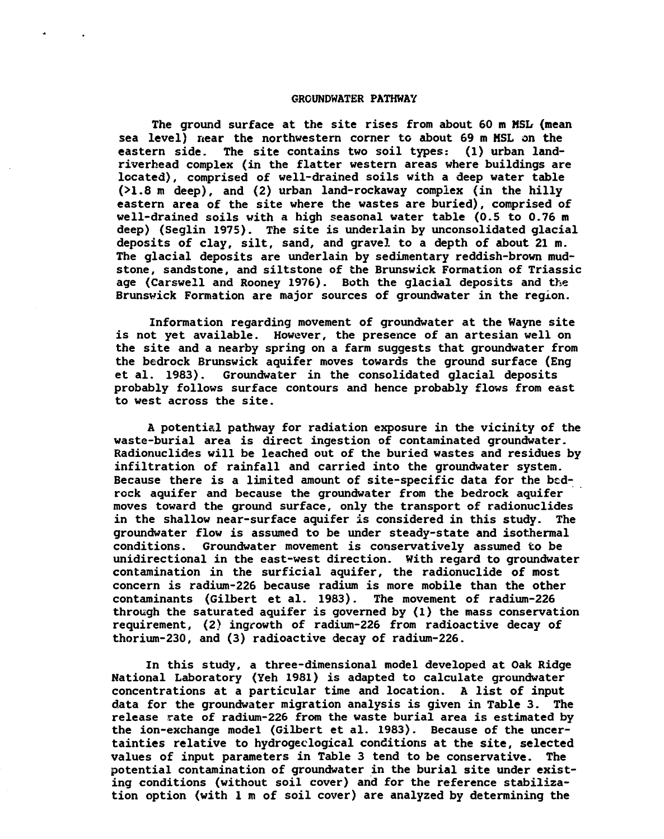### **GROUNDWATER PATHWAY**

**The ground surface at the site rises from about 60 m MSL (mean sea level) near the northwestern corner to about 69 m HSL on the eastern side. The site contains two soil types: (1) urban landrive rhe ad complex (in the flatter western areas where buildings are located), comprised of well-drained soils with a deep water table (>1.8 m deep), and (2) urban land-rockaway complex (in the hilly eastern area of the site where the wastes are buried), comprised of well-drained soils with a high seasonal water table (0.5 to 0.76 m deep) (Seglin 1975). The site is underlain by unconsolidated glacial deposits of clay, silt, sand, and gravel to a depth of about 21 m. The glacial deposits are underlain by sedimentary reddish-brown mudstone, sandstone, and siltstone of the Brunswick Formation of Triassic age (Carswell and Rooney 1976). Both the glacial deposits and the Brunswick Formation are major sources of groundwater in the region.**

**Information regarding movement of groundwater at the Wayne site is not yet available. However, the presence of an artesian well on the site and a nearby spring on a farm suggests that groundwater from the bedrock Brunswick aquifer moves towards the ground surface (Eng et al. 1983). Groundwater in the consolidated glacial deposits probably follows surface contours and hence probably flows from east to west across the site.**

**A potential pathway for radiation exposure in the vicinity of the waste-burial area is direct ingestion of contaminated groundwater. Radionuclides will be leached out of the buried wastes and residues by infiltration of rainfall and carried into the groundwater system. Because there is a limited amount of site-specific data for the bedrock aquifer and because the groundwater from the bedrock aquifer moves toward the ground surface, only the transport of radionuclides in the shallow near-surface aquifer is considered in this study. The groundwater flow is assumed to be under steady-state and isothermal conditions. Groundwater movement is conservatively assumed to be unidirectional in the east-west direction. With regard to groundwater contamination in the surficial aquifer, the radionuclide of most concern is radium-226 because radium is more mobile than the other contaminants (Gilbert et al. 1983). The movement of radium-226 through the saturated aquifer is governed by (1) the mass conservation requirement, (2) ingrowth of radium-226 from radioactive decay of thorium-230, and (3) radioactive decay of radium-226.**

**In this study, a three-dimensional model developed at Oak Ridge National Laboratory (Yeh 1981) is adapted to calculate groundwater concentrations at a particular time and location. A list of input data for the groundwater migration analysis is given in Table 3. The release rate of radium-226 from the waste burial area is estimated by the ion-exchange model (Gilbert et al. 1983). Because of the uncertainties relative to hydrogeclogical conditions at the site, selected values of input parameters in Table 3 tend to be conservative. The potential contamination of groundwater in the burial site under existing conditions (without soil cover) and for the reference stabilization option (with 1 m of soil cover) are analyzed by determining the**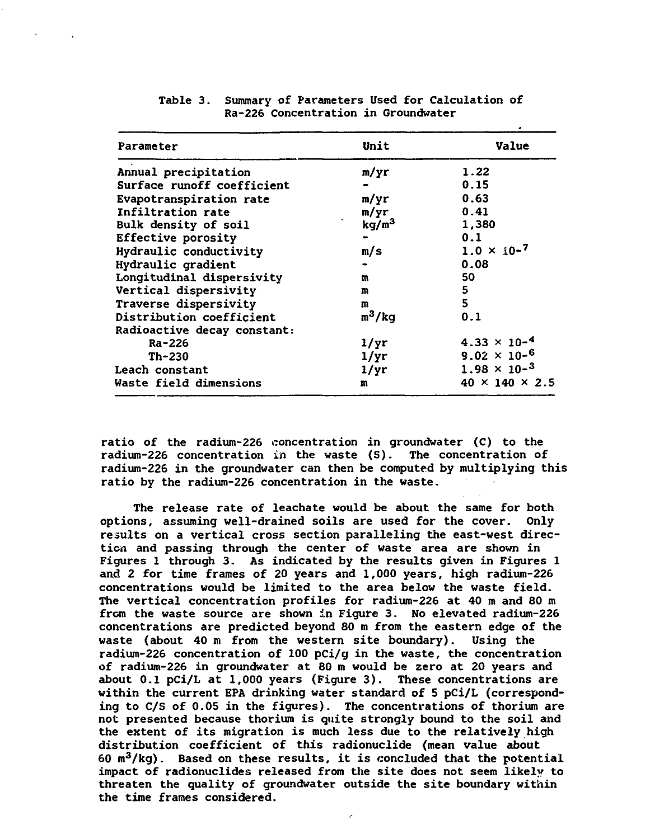| Parameter                   | Unit              | Value                      |  |
|-----------------------------|-------------------|----------------------------|--|
| Annual precipitation        | m/yr              | 1.22                       |  |
| Surface runoff coefficient  |                   | 0.15                       |  |
| Evapotranspiration rate     | m/yr              | 0.63                       |  |
| Infiltration rate           | m/yr              | 0.41                       |  |
| Bulk density of soil        | kg/m <sup>3</sup> | 1,380                      |  |
| <b>Effective porosity</b>   |                   | 0.1                        |  |
| Hydraulic conductivity      | m/s               | $1.0 \times 10^{-7}$       |  |
| Hydraulic gradient          |                   | 0.08                       |  |
| Longitudinal dispersivity   | m                 | 50                         |  |
| Vertical dispersivity       | m                 | 5                          |  |
| Traverse dispersivity       | m                 | 5                          |  |
| Distribution coefficient    | $m^3/kg$          | 0.1                        |  |
| Radioactive decay constant: |                   |                            |  |
| Ra-226                      | 1/yr              | $4.33 \times 10^{-4}$      |  |
| Th-230                      | $1/\text{yr}$     | $9.02 \times 10^{-6}$      |  |
| Leach constant              | 1/yr              | $1.98 \times 10^{-3}$      |  |
| Waste field dimensions      | m                 | $40 \times 140 \times 2.5$ |  |
|                             |                   |                            |  |

**Table 3. Summary of Parameters Used for Calculation of Ra-226 Concentration in Groundwater**

**ratio of the radium-226 concentration in groundwater (C) to the radium-226 concentration in the waste (S). The concentration of radium-226 in the groundwater can then be computed by multiplying this ratio by the radium-226 concentration in the waste.**

**The release rate of leachate would be about the same for both options, assuming well-drained soils are used for the cover. Only results on a vertical cross section paralleling the east-west direction and passing through the center of waste area are shown in Figures 1 through 3. As indicated by the results given in Figures 1 and 2 for time frames of 20 years and 1,000 years, high radium-226 concentrations would be limited to the area below the waste field. The vertical concentration profiles for radium-226 at 40 m and 80 m from the waste source are shown in Figure 3. No elevated radium-226 concentrations are predicted beyond 80 m from the eastern edge of the waste (about 40 m from the western site boundary). Using the radium-226 concentration of 100 pCi/g in the waste, the concentration of radium-226 in groundwater at 80 m would be zero at 20 years and about 0.1 pCi/L at 1,000 years (Figure 3). These concentrations are within the current EPA drinking water standard of 5 pCi/L (corresponding to C/S of 0.05 in the figures). The concentrations of thorium are not presented because thorium is quite strongly bound to the soil and the extent of its migration is much less due to the relatively high distribution coefficient of this radionuclide (mean value about 60 m<sup>3</sup>/kg). Based on these results, it is concluded that the potential impact of radionuclides released from the site does not seem likely to threaten the quality of groundwater outside the site boundary within the time frames considered.**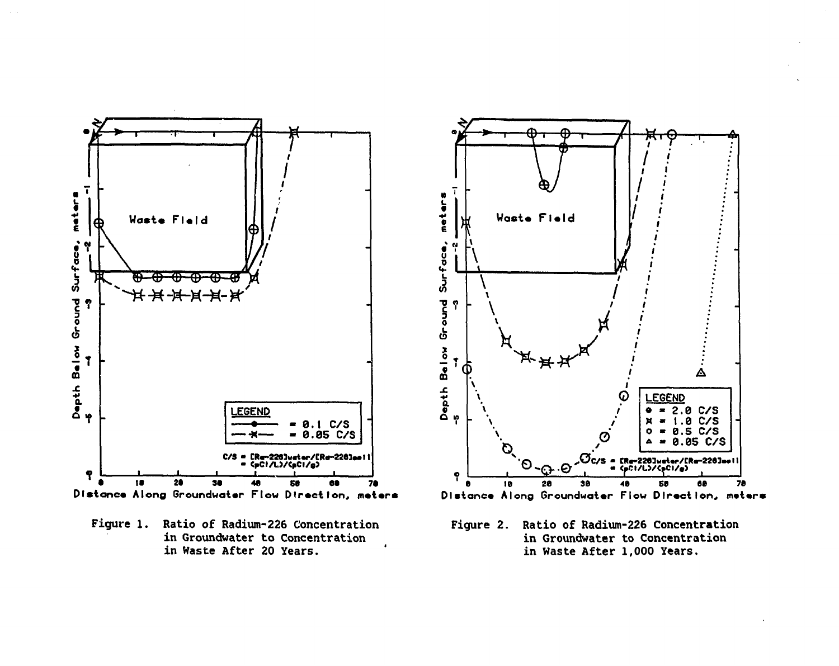

Figure 1. Ratio of Radium-226 Concentration in Groundwater to Concentration in Waste After 20 Years.



Figure 2. Ratio of Radium-226 Concentration in Groundwater to Concentration in Waste After 1,000 Years.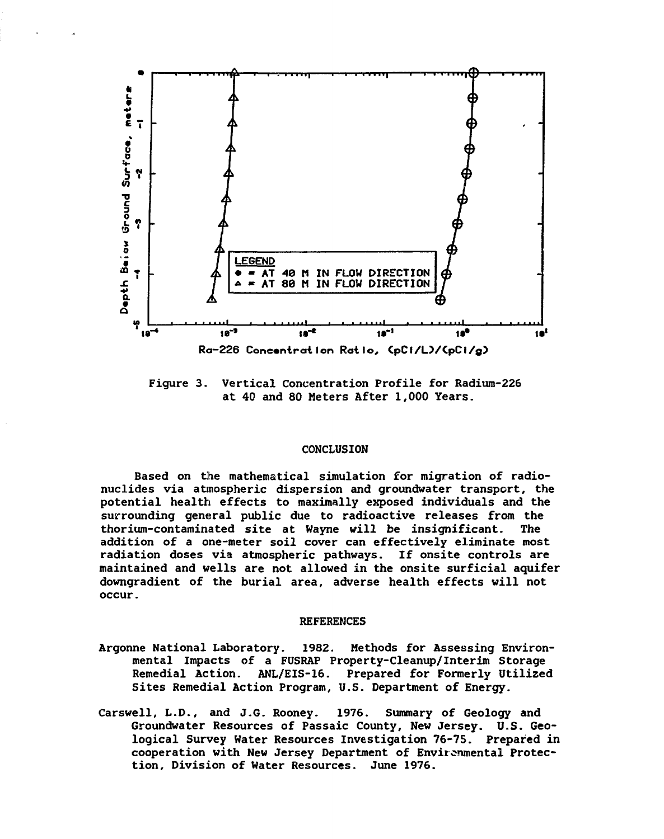

**Figure 3. Vertical Concentration Profile for Radium-226 at 40 and 80 Meters After 1,000 Years.**

#### **CONCLUSION**

**Based on the mathematical simulation for migration of radionuclides via atmospheric dispersion and groundwater transport, the potential health effects to maximally exposed individuals and the surrounding general public due to radioactive releases from the thorium-contaminated site at Wayne will be insignificant. The addition of a one-meter soil cover can effectively eliminate most radiation doses via atmospheric pathways. If onsite controls are maintained and wells are not allowed in the onsite surficial aquifer downgradient of the burial area, adverse health effects will not occur.**

# **REFERENCES**

- **Argonne National Laboratory. 1982. Methods for Assessing Environmental Impacts of a FUSRAP Property-Cleanup/Interim Storage Remedial Action. ANL/EIS-16. Prepared for Formerly Utilized Sites Remedial Action Program, U.S. Department of Energy.**
- **Carswell, L.D., and J.G. Rooney. 1976. Summary of Geology and Groundwater Resources of Passaic County, New Jersey. U.S. Geological Survey Water Resources Investigation 76-75. Prepared in cooperation with New Jersey Department of Environmental Protection, Division of Water Resources. June 1976.**